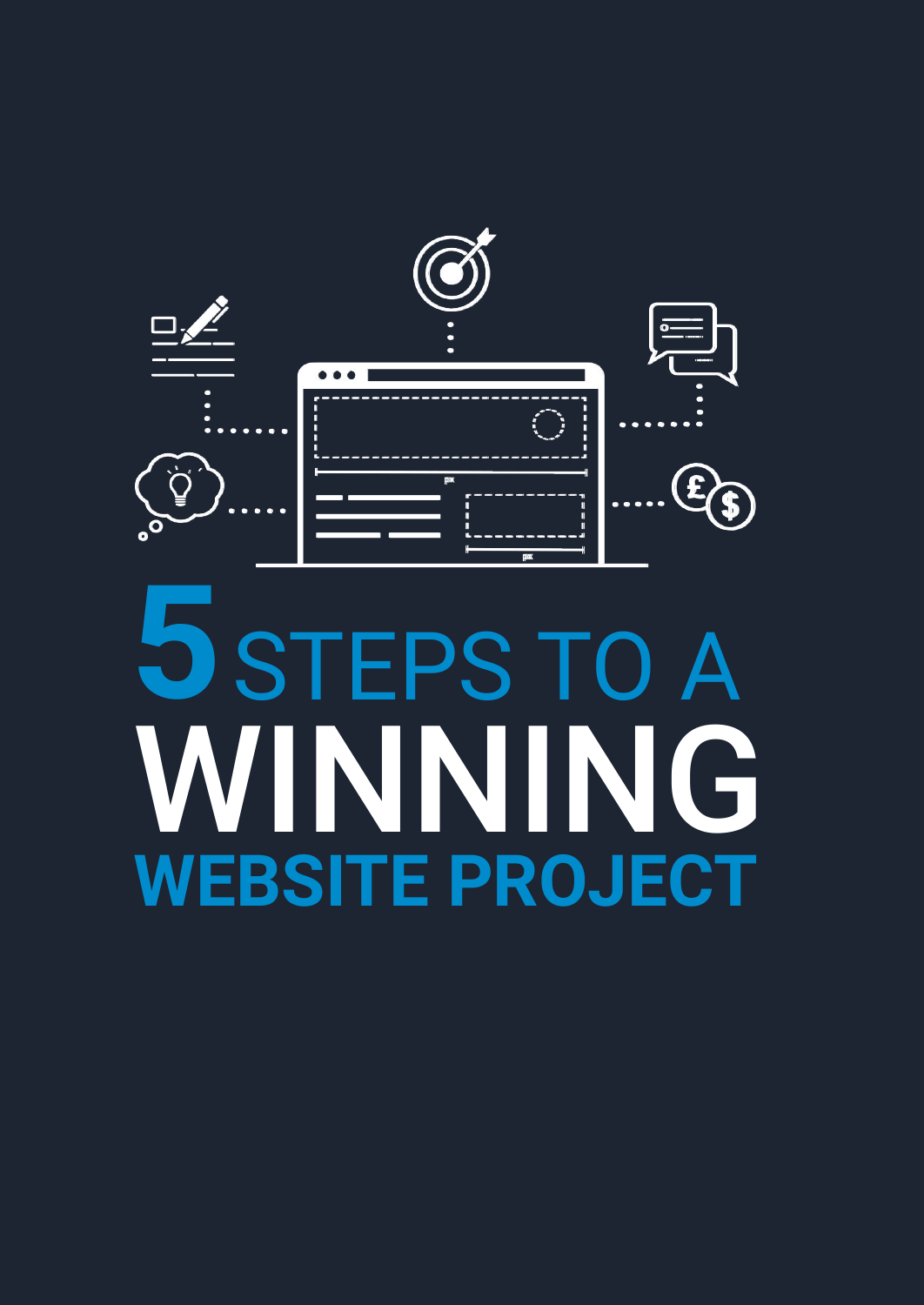

# STEPS TO A WINNING **WEBSITE PROJECT 5**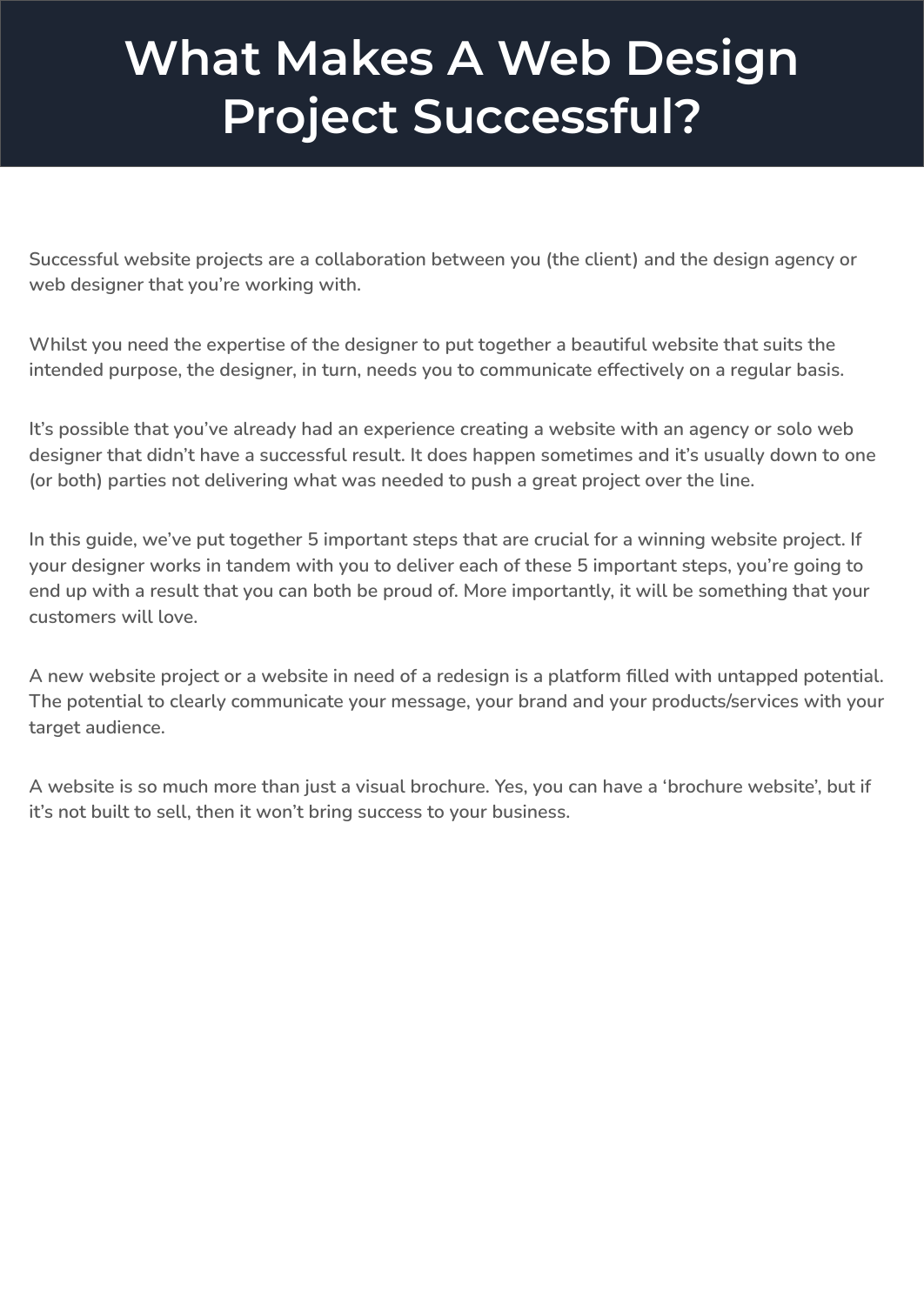### **What Makes A Web Design Project Successful?**

**Successful website projects are a collaboration between you (the client) and the design agency or web designer that you're working with.**

**Whilst you need the expertise of the designer to put together a beautiful website that suits the intended purpose, the designer, in turn, needs you to communicate effectively on a regular basis.**

**It's possible that you've already had an experience creating a website with an agency or solo web designer that didn't have a successful result. It does happen sometimes and it's usually down to one (or both) parties not delivering what was needed to push a great project over the line.**

**In this guide, we've put together 5 important steps that are crucial for a winning website project. If your designer works in tandem with you to deliver each of these 5 important steps, you're going to end up with a result that you can both be proud of. More importantly, it will be something that your customers will love.**

**A new website project or a website in need of a redesign is a platform filled with untapped potential. The potential to clearly communicate your message, your brand and your products/services with your target audience.**

**A website is so much more than just a visual brochure. Yes, you can have a 'brochure website', but if it's not built to sell, then it won't bring success to your business.**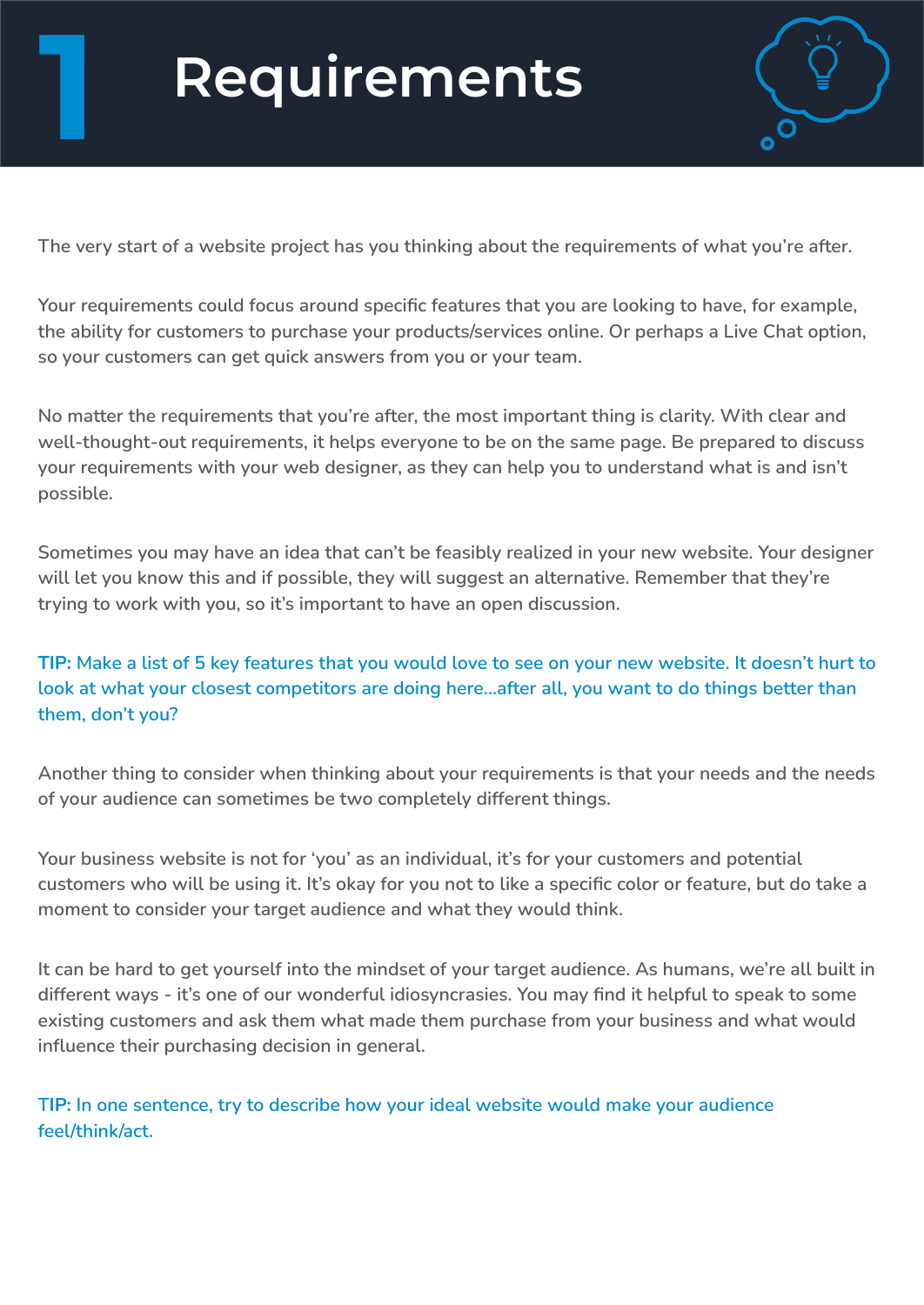## **Requirements 1**



**The very start of a website project has you thinking about the requirements of what you're after.** 

**Your requirements could focus around specific features that you are looking to have, for example, the ability for customers to purchase your products/services online. Or perhaps a Live Chat option, so your customers can get quick answers from you or your team.**

**No matter the requirements that you're after, the most important thing is clarity. With clear and well-thought-out requirements, it helps everyone to be on the same page. Be prepared to discuss your requirements with your web designer, as they can help you to understand what is and isn't possible.**

**Sometimes you may have an idea that can't be feasibly realized in your new website. Your designer will let you know this and if possible, they will suggest an alternative. Remember that they're trying to work with you, so it's important to have an open discussion.**

#### **TIP: Make a list of 5 key features that you would love to see on your new website. It doesn't hurt to look at what your closest competitors are doing here...after all, you want to do things better than them, don't you?**

**Another thing to consider when thinking about your requirements is that your needs and the needs of your audience can sometimes be two completely different things.**

**Your business website is not for 'you' as an individual, it's for your customers and potential customers who will be using it. It's okay for you not to like a specific color or feature, but do take a moment to consider your target audience and what they would think.**

**It can be hard to get yourself into the mindset of your target audience. As humans, we're all built in different ways - it's one of our wonderful idiosyncrasies. You may find it helpful to speak to some existing customers and ask them what made them purchase from your business and what would influence their purchasing decision in general.**

**TIP: In one sentence, try to describe how your ideal website would make your audience feel/think/act.**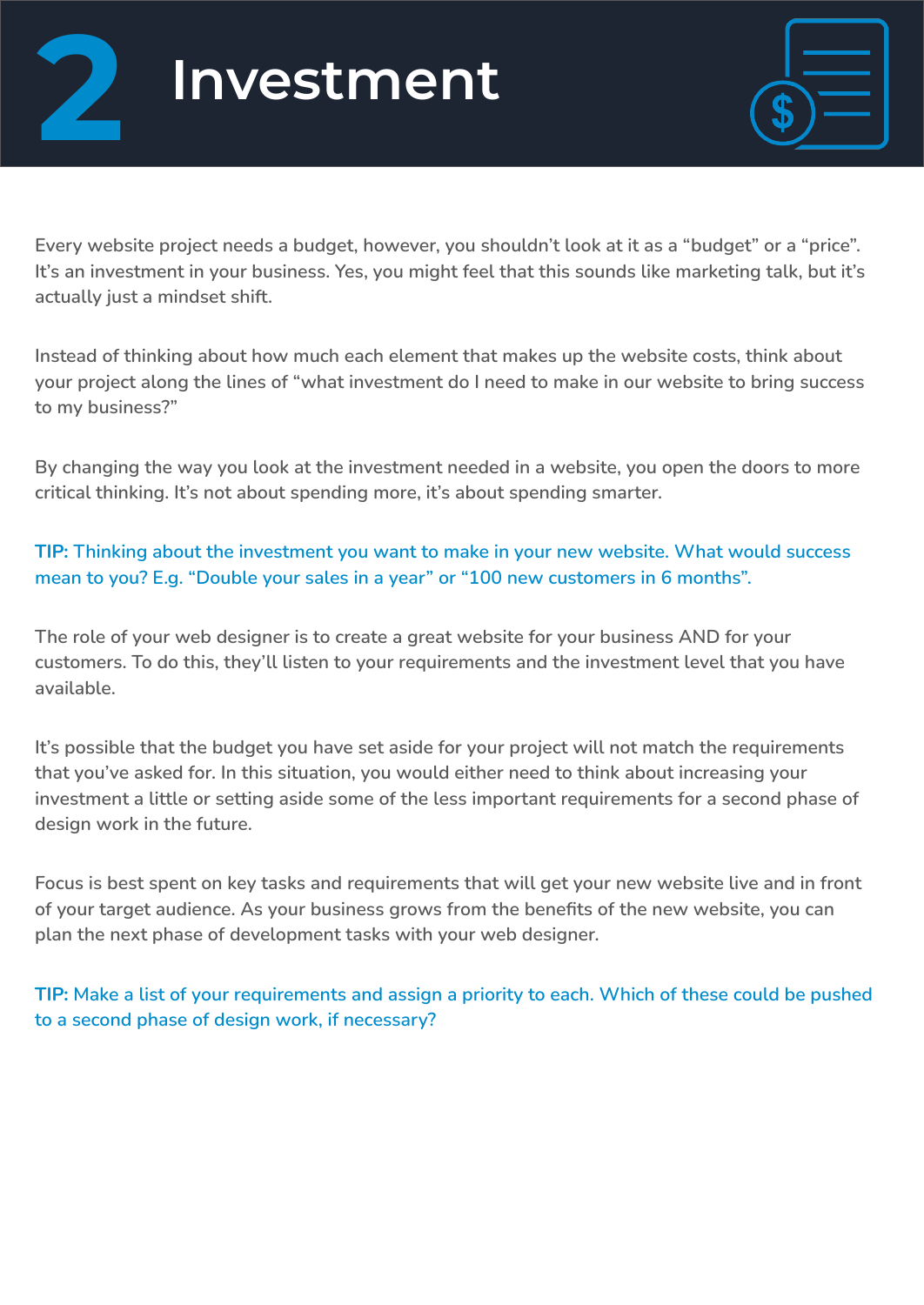



**Every website project needs a budget, however, you shouldn't look at it as a "budget" or a "price". It's an investment in your business. Yes, you might feel that this sounds like marketing talk, but it's actually just a mindset shift.**

**Instead of thinking about how much each element that makes up the website costs, think about your project along the lines of "what investment do I need to make in our website to bring success to my business?"**

**By changing the way you look at the investment needed in a website, you open the doors to more critical thinking. It's not about spending more, it's about spending smarter.**

**TIP: Thinking about the investment you want to make in your new website. What would success mean to you? E.g. "Double your sales in a year" or "100 new customers in 6 months".**

**The role of your web designer is to create a great website for your business AND for your customers. To do this, they'll listen to your requirements and the investment level that you have available.**

**It's possible that the budget you have set aside for your project will not match the requirements that you've asked for. In this situation, you would either need to think about increasing your investment a little or setting aside some of the less important requirements for a second phase of design work in the future.**

**Focus is best spent on key tasks and requirements that will get your new website live and in front of your target audience. As your business grows from the benefits of the new website, you can plan the next phase of development tasks with your web designer.**

**TIP: Make a list of your requirements and assign a priority to each. Which of these could be pushed to a second phase of design work, if necessary?**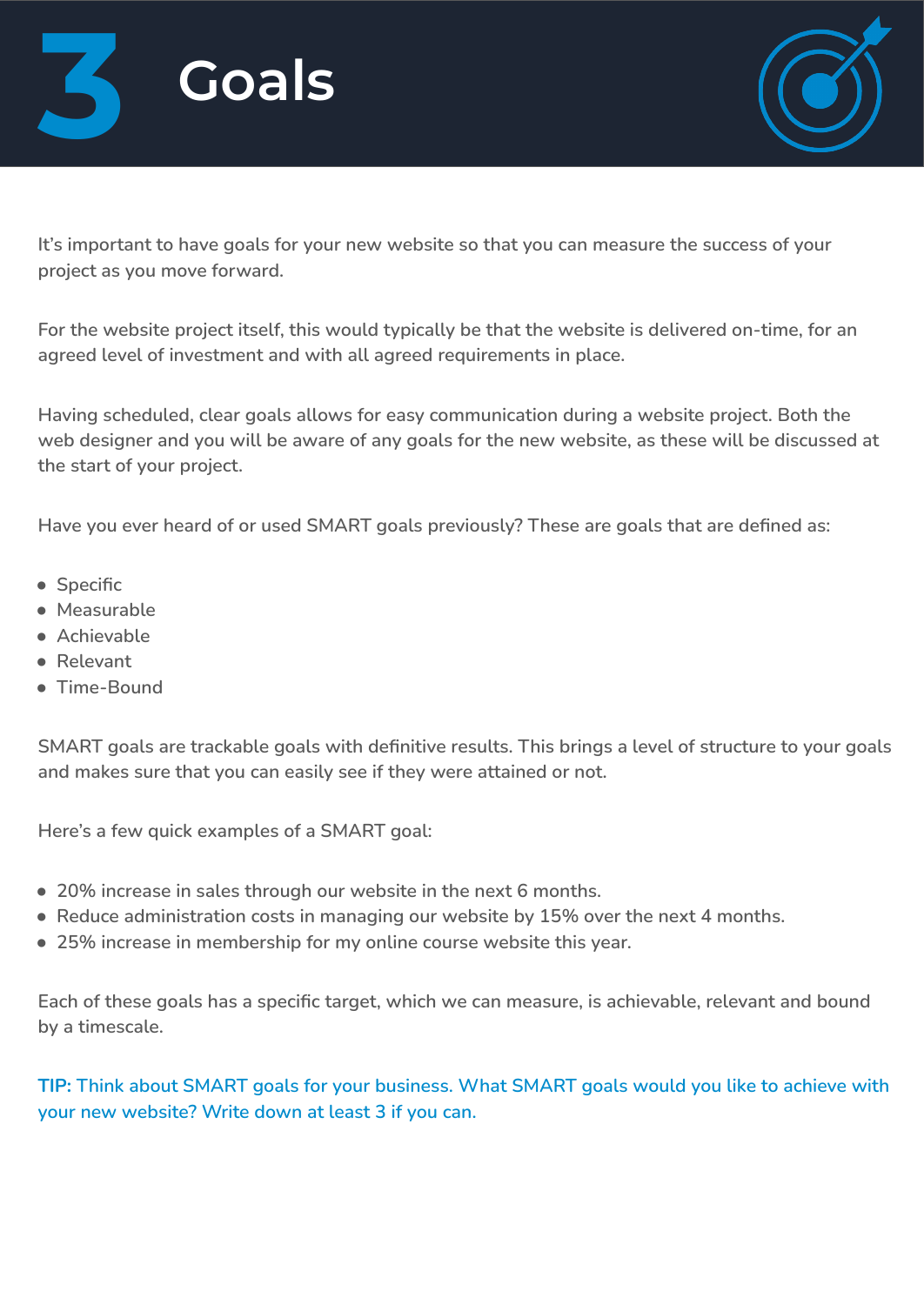



**It's important to have goals for your new website so that you can measure the success of your project as you move forward.** 

**For the website project itself, this would typically be that the website is delivered on-time, for an agreed level of investment and with all agreed requirements in place.**

**Having scheduled, clear goals allows for easy communication during a website project. Both the web designer and you will be aware of any goals for the new website, as these will be discussed at the start of your project.**

**Have you ever heard of or used SMART goals previously? These are goals that are defined as:**

- **Specific**
- **Measurable**
- **Achievable**
- **Relevant**
- **Time-Bound**

**SMART goals are trackable goals with definitive results. This brings a level of structure to your goals and makes sure that you can easily see if they were attained or not.**

**Here's a few quick examples of a SMART goal:**

- **20% increase in sales through our website in the next 6 months.**
- **Reduce administration costs in managing our website by 15% over the next 4 months.**
- **25% increase in membership for my online course website this year.**

**Each of these goals has a specific target, which we can measure, is achievable, relevant and bound by a timescale.**

**TIP: Think about SMART goals for your business. What SMART goals would you like to achieve with your new website? Write down at least 3 if you can.**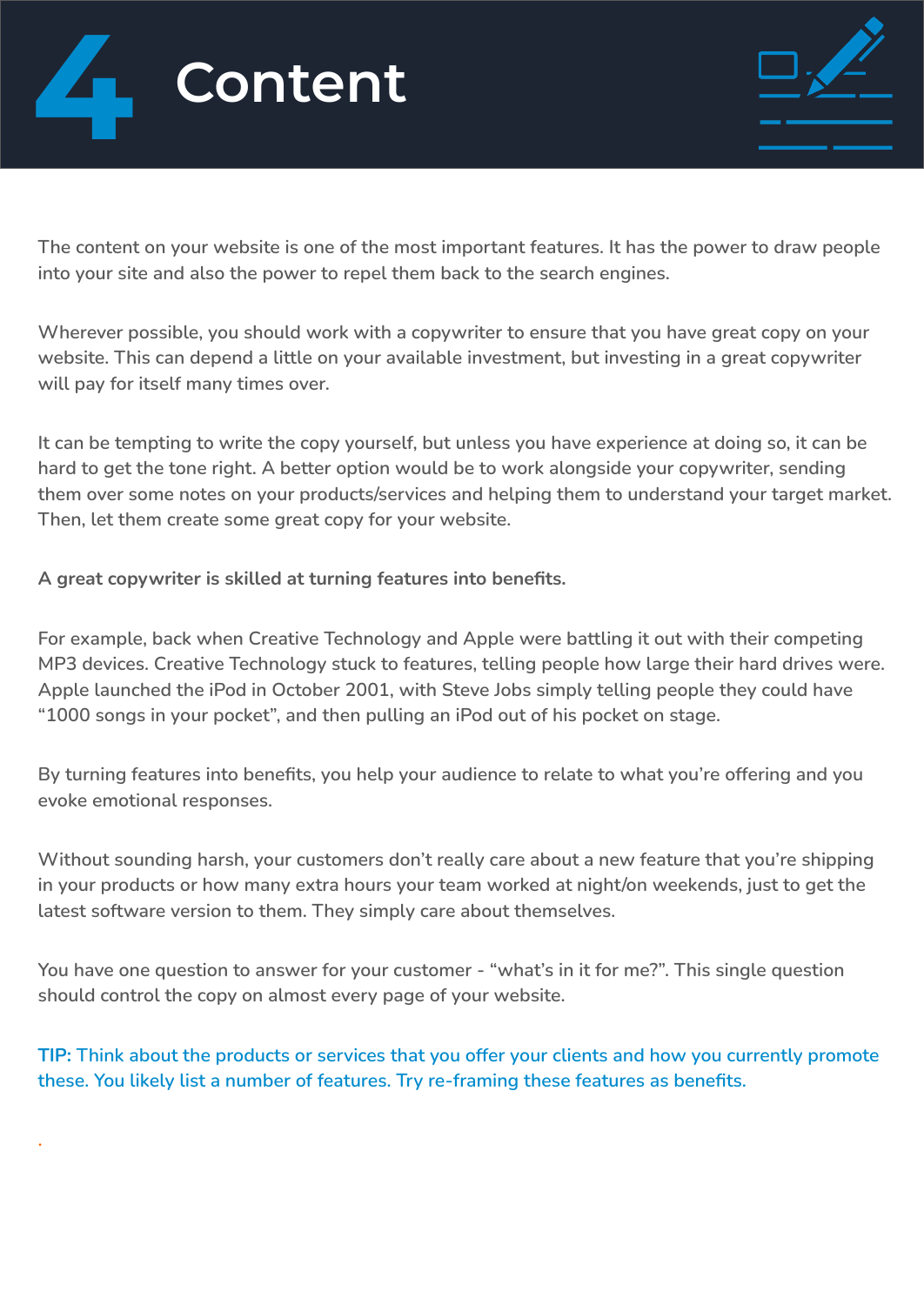



**The content on your website is one of the most important features. It has the power to draw people into your site and also the power to repel them back to the search engines.**

**Wherever possible, you should work with a copywriter to ensure that you have great copy on your website. This can depend a little on your available investment, but investing in a great copywriter will pay for itself many times over.**

**It can be tempting to write the copy yourself, but unless you have experience at doing so, it can be hard to get the tone right. A better option would be to work alongside your copywriter, sending them over some notes on your products/services and helping them to understand your target market. Then, let them create some great copy for your website.**

**A great copywriter is skilled at turning features into benefits.**

**.**

**For example, back when Creative Technology and Apple were battling it out with their competing MP3 devices. Creative Technology stuck to features, telling people how large their hard drives were. Apple launched the iPod in October 2001, with Steve Jobs simply telling people they could have "1000 songs in your pocket", and then pulling an iPod out of his pocket on stage.**

**By turning features into benefits, you help your audience to relate to what you're offering and you evoke emotional responses.**

**Without sounding harsh, your customers don't really care about a new feature that you're shipping in your products or how many extra hours your team worked at night/on weekends, just to get the latest software version to them. They simply care about themselves.**

**You have one question to answer for your customer - "what's in it for me?". This single question should control the copy on almost every page of your website.**

**TIP: Think about the products or services that you offer your clients and how you currently promote these. You likely list a number of features. Try re-framing these features as benefits.**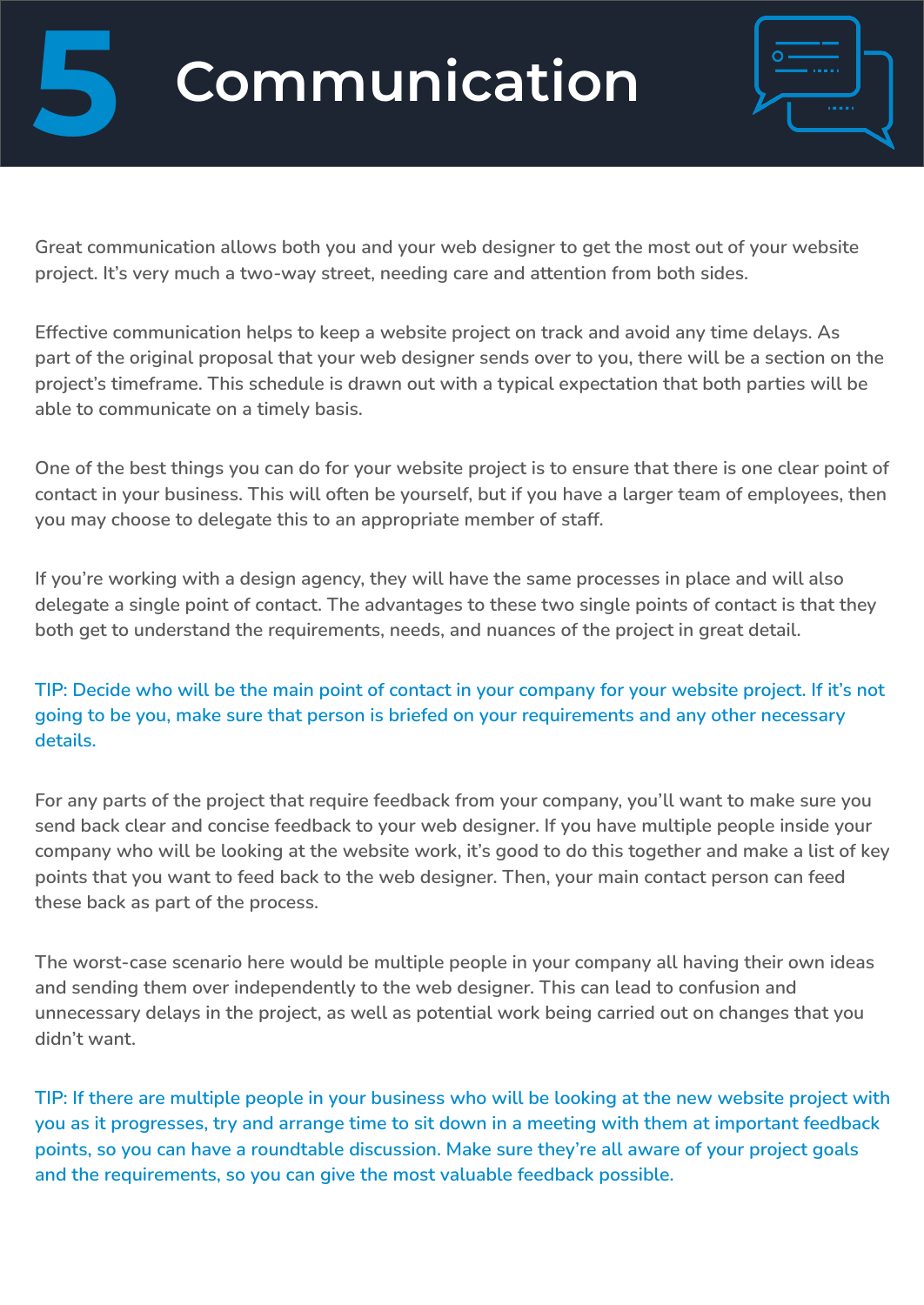# **5 Communication**



**Great communication allows both you and your web designer to get the most out of your website project. It's very much a two-way street, needing care and attention from both sides.**

**Effective communication helps to keep a website project on track and avoid any time delays. As part of the original proposal that your web designer sends over to you, there will be a section on the project's timeframe. This schedule is drawn out with a typical expectation that both parties will be able to communicate on a timely basis.**

**One of the best things you can do for your website project is to ensure that there is one clear point of contact in your business. This will often be yourself, but if you have a larger team of employees, then you may choose to delegate this to an appropriate member of staff.**

**If you're working with a design agency, they will have the same processes in place and will also delegate a single point of contact. The advantages to these two single points of contact is that they both get to understand the requirements, needs, and nuances of the project in great detail.**

**TIP: Decide who will be the main point of contact in your company for your website project. If it's not going to be you, make sure that person is briefed on your requirements and any other necessary details.**

**For any parts of the project that require feedback from your company, you'll want to make sure you send back clear and concise feedback to your web designer. If you have multiple people inside your company who will be looking at the website work, it's good to do this together and make a list of key points that you want to feed back to the web designer. Then, your main contact person can feed these back as part of the process.**

**The worst-case scenario here would be multiple people in your company all having their own ideas and sending them over independently to the web designer. This can lead to confusion and unnecessary delays in the project, as well as potential work being carried out on changes that you didn't want.**

**TIP: If there are multiple people in your business who will be looking at the new website project with you as it progresses, try and arrange time to sit down in a meeting with them at important feedback points, so you can have a roundtable discussion. Make sure they're all aware of your project goals and the requirements, so you can give the most valuable feedback possible.**